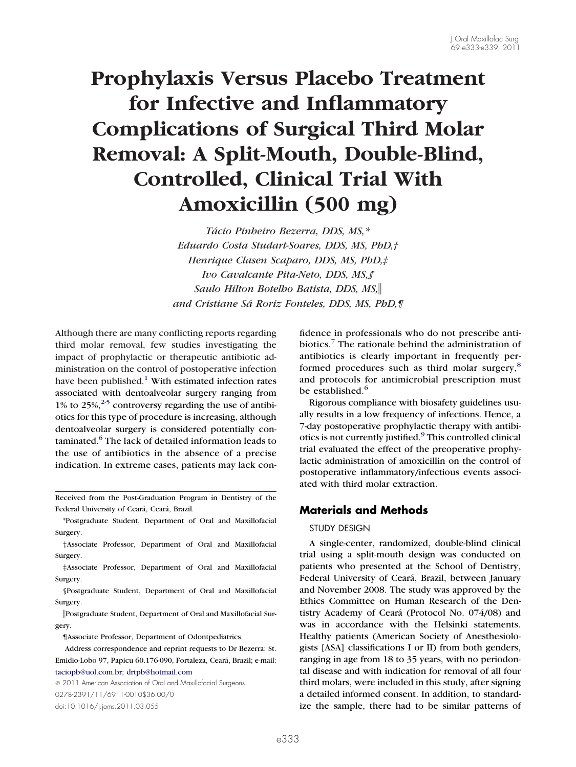# **Prophylaxis Versus Placebo Treatment for Infective and Inflammatory Complications of Surgical Third Molar Removal: A Split-Mouth, Double-Blind, Controlled, Clinical Trial With Amoxicillin (500 mg)**

*Tácio Pinheiro Bezerra, DDS, MS,\* Eduardo Costa Studart-Soares, DDS, MS, PhD,† Henrique Clasen Scaparo, DDS, MS, PhD,‡ Ivo Cavalcante Pita-Neto, DDS, MS,§ Saulo Hilton Botelho Batista, DDS, MS, and Cristiane Sá Roriz Fonteles, DDS, MS, PhD,¶*

Although there are many conflicting reports regarding third molar removal, few studies investigating the impact of prophylactic or therapeutic antibiotic administration on the control of postoperative infection have been published.<sup>1</sup> With estimated infection rates associated with dentoalveolar surgery ranging from 1% to  $25\%,^{2-5}$  controversy regarding the use of antibiotics for this type of procedure is increasing, although dentoalveolar surgery is considered potentially con-taminated.<sup>[6](#page-5-2)</sup> The lack of detailed information leads to the use of antibiotics in the absence of a precise indication. In extreme cases, patients may lack con-

Received from the Post-Graduation Program in Dentistry of the Federal University of Ceará, Ceará, Brazil.

\*Postgraduate Student, Department of Oral and Maxillofacial Surgery.

†Associate Professor, Department of Oral and Maxillofacial Surgery.

‡Associate Professor, Department of Oral and Maxillofacial Surgery.

§Postgraduate Student, Department of Oral and Maxillofacial Surgery.

Postgraduate Student, Department of Oral and Maxillofacial Surgery.

¶Associate Professor, Department of Odontpediatrics.

Address correspondence and reprint requests to Dr Bezerra: St. Emidio-Lobo 97, Papicu 60.176-090, Fortaleza, Ceará, Brazil; e-mail: [taciopb@uol.com.br;](mailto:taciopb@uol.com.br) [drtpb@hotmail.com](mailto:drtpb@hotmail.com)

© 2011 American Association of Oral and Maxillofacial Surgeons 0278-2391/11/6911-0010\$36.00/0 doi:10.1016/j.joms.2011.03.055

fidence in professionals who do not prescribe anti-biotics.<sup>[7](#page-5-3)</sup> The rationale behind the administration of antibiotics is clearly important in frequently per-formed procedures such as third molar surgery,<sup>[8](#page-5-4)</sup> and protocols for antimicrobial prescription must be established.<sup>[6](#page-5-2)</sup>

Rigorous compliance with biosafety guidelines usually results in a low frequency of infections. Hence, a 7-day postoperative prophylactic therapy with antibiotics is not currently justified.[9](#page-5-5) This controlled clinical trial evaluated the effect of the preoperative prophylactic administration of amoxicillin on the control of postoperative inflammatory/infectious events associated with third molar extraction.

## **Materials and Methods**

#### STUDY DESIGN

A single-center, randomized, double-blind clinical trial using a split-mouth design was conducted on patients who presented at the School of Dentistry, Federal University of Ceará, Brazil, between January and November 2008. The study was approved by the Ethics Committee on Human Research of the Dentistry Academy of Ceará (Protocol No. 074/08) and was in accordance with the Helsinki statements. Healthy patients (American Society of Anesthesiologists [ASA] classifications I or II) from both genders, ranging in age from 18 to 35 years, with no periodontal disease and with indication for removal of all four third molars, were included in this study, after signing a detailed informed consent. In addition, to standardize the sample, there had to be similar patterns of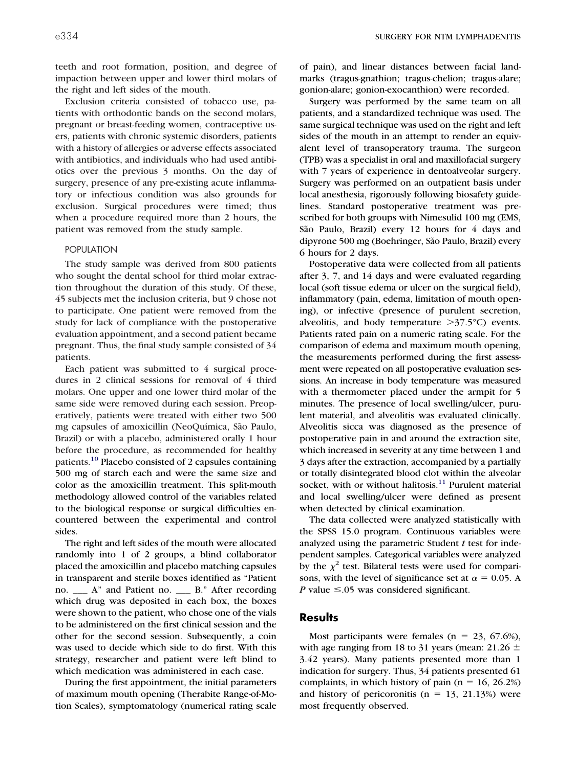teeth and root formation, position, and degree of impaction between upper and lower third molars of the right and left sides of the mouth.

Exclusion criteria consisted of tobacco use, patients with orthodontic bands on the second molars, pregnant or breast-feeding women, contraceptive users, patients with chronic systemic disorders, patients with a history of allergies or adverse effects associated with antibiotics, and individuals who had used antibiotics over the previous 3 months. On the day of surgery, presence of any pre-existing acute inflammatory or infectious condition was also grounds for exclusion. Surgical procedures were timed; thus when a procedure required more than 2 hours, the patient was removed from the study sample.

#### POPULATION

The study sample was derived from 800 patients who sought the dental school for third molar extraction throughout the duration of this study. Of these, 45 subjects met the inclusion criteria, but 9 chose not to participate. One patient were removed from the study for lack of compliance with the postoperative evaluation appointment, and a second patient became pregnant. Thus, the final study sample consisted of 34 patients.

Each patient was submitted to 4 surgical procedures in 2 clinical sessions for removal of 4 third molars. One upper and one lower third molar of the same side were removed during each session. Preoperatively, patients were treated with either two 500 mg capsules of amoxicillin (NeoQuímica, São Paulo, Brazil) or with a placebo, administered orally 1 hour before the procedure, as recommended for healthy patients.<sup>[10](#page-5-6)</sup> Placebo consisted of 2 capsules containing 500 mg of starch each and were the same size and color as the amoxicillin treatment. This split-mouth methodology allowed control of the variables related to the biological response or surgical difficulties encountered between the experimental and control sides.

The right and left sides of the mouth were allocated randomly into 1 of 2 groups, a blind collaborator placed the amoxicillin and placebo matching capsules in transparent and sterile boxes identified as "Patient no. \_\_\_ A" and Patient no. \_\_\_ B." After recording which drug was deposited in each box, the boxes were shown to the patient, who chose one of the vials to be administered on the first clinical session and the other for the second session. Subsequently, a coin was used to decide which side to do first. With this strategy, researcher and patient were left blind to which medication was administered in each case.

During the first appointment, the initial parameters of maximum mouth opening (Therabite Range-of-Motion Scales), symptomatology (numerical rating scale of pain), and linear distances between facial landmarks (tragus-gnathion; tragus-chelion; tragus-alare; gonion-alare; gonion-exocanthion) were recorded.

Surgery was performed by the same team on all patients, and a standardized technique was used. The same surgical technique was used on the right and left sides of the mouth in an attempt to render an equivalent level of transoperatory trauma. The surgeon (TPB) was a specialist in oral and maxillofacial surgery with 7 years of experience in dentoalveolar surgery. Surgery was performed on an outpatient basis under local anesthesia, rigorously following biosafety guidelines. Standard postoperative treatment was prescribed for both groups with Nimesulid 100 mg (EMS, São Paulo, Brazil) every 12 hours for 4 days and dipyrone 500 mg (Boehringer, São Paulo, Brazil) every 6 hours for 2 days.

Postoperative data were collected from all patients after 3, 7, and 14 days and were evaluated regarding local (soft tissue edema or ulcer on the surgical field), inflammatory (pain, edema, limitation of mouth opening), or infective (presence of purulent secretion, alveolitis, and body temperature  $>37.5^{\circ}$ C) events. Patients rated pain on a numeric rating scale. For the comparison of edema and maximum mouth opening, the measurements performed during the first assessment were repeated on all postoperative evaluation sessions. An increase in body temperature was measured with a thermometer placed under the armpit for 5 minutes. The presence of local swelling/ulcer, purulent material, and alveolitis was evaluated clinically. Alveolitis sicca was diagnosed as the presence of postoperative pain in and around the extraction site, which increased in severity at any time between 1 and 3 days after the extraction, accompanied by a partially or totally disintegrated blood clot within the alveolar socket, with or without halitosis. $11$  Purulent material and local swelling/ulcer were defined as present when detected by clinical examination.

The data collected were analyzed statistically with the SPSS 15.0 program. Continuous variables were analyzed using the parametric Student *t* test for independent samples. Categorical variables were analyzed by the  $\chi^2$  test. Bilateral tests were used for comparisons, with the level of significance set at  $\alpha = 0.05$ . A *P* value  $\leq$ .05 was considered significant.

#### **Results**

Most participants were females  $(n = 23, 67.6\%)$ , with age ranging from 18 to 31 years (mean: 21.26  $\pm$ 3.42 years). Many patients presented more than 1 indication for surgery. Thus, 34 patients presented 61 complaints, in which history of pain  $(n = 16, 26.2%)$ and history of pericoronitis  $(n = 13, 21.13%)$  were most frequently observed.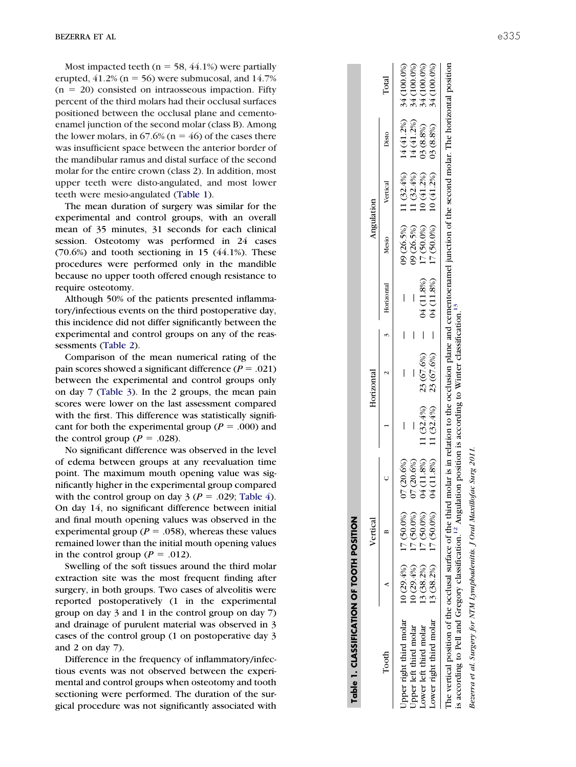Most impacted teeth ( $n = 58, 44.1\%$ ) were partially erupted,  $41.2\%$  (n = 56) were submucosal, and  $14.7\%$  $(n = 20)$  consisted on intraosseous impaction. Fifty percent of the third molars had their occlusal surfaces positioned between the occlusal plane and cementoenamel junction of the second molar (class B). Among the lower molars, in  $67.6\%$  ( $n = 46$ ) of the cases there was insufficient space between the anterior border of the mandibular ramus and distal surface of the second molar for the entire crown (class 2). In addition, most upper teeth were disto-angulated, and most lower teeth were mesio-angulated [\(Table 1\)](#page-2-0).

The mean duration of surgery was similar for the experimental and control groups, with an overall mean of 35 minutes, 31 seconds for each clinical session. Osteotomy was performed in 24 cases  $(70.6\%)$  and tooth sectioning in 15  $(44.1\%)$ . These procedures were performed only in the mandible because no upper tooth offered enough resistance to require osteotomy.

Although 50% of the patients presented inflammatory/infectious events on the third postoperative day, this incidence did not differ significantly between the experimental and control groups on any of the reassessments [\(Table 2\)](#page-3-0).

Comparison of the mean numerical rating of the pain scores showed a significant difference  $(P = .021)$ between the experimental and control groups only on day 7 [\(Table 3\)](#page-3-1). In the 2 groups, the mean pain scores were lower on the last assessment compared with the first. This difference was statistically significant for both the experimental group ( $P = .000$ ) and the control group ( $P = .028$ ).

No significant difference was observed in the level of edema between groups at any reevaluation time point. The maximum mouth opening value was significantly higher in the experimental group compared with the control group on day  $3 (P = .029;$  [Table 4\)](#page-3-2). On day 14, no significant difference between initial and final mouth opening values was observed in the experimental group ( $P = .058$ ), whereas these values remained lower than the initial mouth opening values in the control group ( $P = .012$ ).

Swelling of the soft tissues around the third molar extraction site was the most frequent finding after surgery, in both groups. Two cases of alveolitis were reported postoperatively (1 in the experimental group on day 3 and 1 in the control group on day 7) and drainage of purulent material was observed in 3 cases of the control group (1 on postoperative day 3 and 2 on day 7).

Difference in the frequency of inflammatory/infectious events was not observed between the experimental and control groups when osteotomy and tooth sectioning were performed. The duration of the surgical procedure was not significantly associated with

|                                                                                                                                                                                                                                                                                                                           |            | Vertical                  |               |                                        | Horizontal                  |   |                | Angulation |              |                                            |             |
|---------------------------------------------------------------------------------------------------------------------------------------------------------------------------------------------------------------------------------------------------------------------------------------------------------------------------|------------|---------------------------|---------------|----------------------------------------|-----------------------------|---|----------------|------------|--------------|--------------------------------------------|-------------|
| Tooth                                                                                                                                                                                                                                                                                                                     |            |                           |               |                                        |                             |   | 2 3 Horizontal | Mesio      | Vertical     | Disto                                      | Total       |
| Upper right third molar                                                                                                                                                                                                                                                                                                   |            | $10(29.4\%)$ $17(50.0\%)$ | J7 (20.6%)    |                                        |                             | I |                | 09 (26.5%) |              | 11 $(32.4\%)$ 14 $(41.2\%)$ 34 $(100.0\%)$ |             |
| Upper left third molar                                                                                                                                                                                                                                                                                                    | 10(29.4%)  | 17 (50.0%)                | 7(20.6%)      |                                        |                             |   |                | 09 (26.5%) | $11(32.4\%)$ | 14 (41.2%)                                 | 34 (100.0%) |
| Lower left third molar                                                                                                                                                                                                                                                                                                    | 13 (38.2%) | 17 (50.0%)                | 4 (11.8%)     |                                        | 11 $(32.4\%)$ 23 $(67.6\%)$ |   | 04 (11.8%)     | 17 (50.0%) | $10(41.2\%)$ | 03 (8.8%)                                  | 34 (100.0%) |
| Lower right third molar                                                                                                                                                                                                                                                                                                   |            | $13(38.2\%)$ $17(50.0\%)$ |               | $(11.8\%)$ 11 $(32.4\%)$ 23 $(67.6\%)$ |                             |   | 04 (11.8%)     | 17 (50.0%) | 10(41.2%)    | 03(8.8%)                                   | 34 (100.0%) |
| The vertical position of the occlusal surface of the third molar is in relation to the occlusion plane and cementoenamel junction of the second molar. The horizontal position<br>is according to Pell and Gregory classification. <sup>12</sup> Angulation position is according to Winter classification. <sup>13</sup> |            |                           |               |                                        |                             |   |                |            |              |                                            |             |
|                                                                                                                                                                                                                                                                                                                           |            |                           | $\frac{1}{2}$ |                                        |                             |   |                |            |              |                                            |             |

<span id="page-2-0"></span>**Table 1. CLASSIFICATION OF TOOTH POSITION**

Table 1. CLASSIFICATION OF TOOTH POSITION

Bezerra et al. Surgery for NTM Lymphadenitis. J Oral Maxillofac Surg 2011.  $\overline{50}$ for NTM Lymphadentis. J Oral Maxillofac Surg Bezerra et al. Surgery.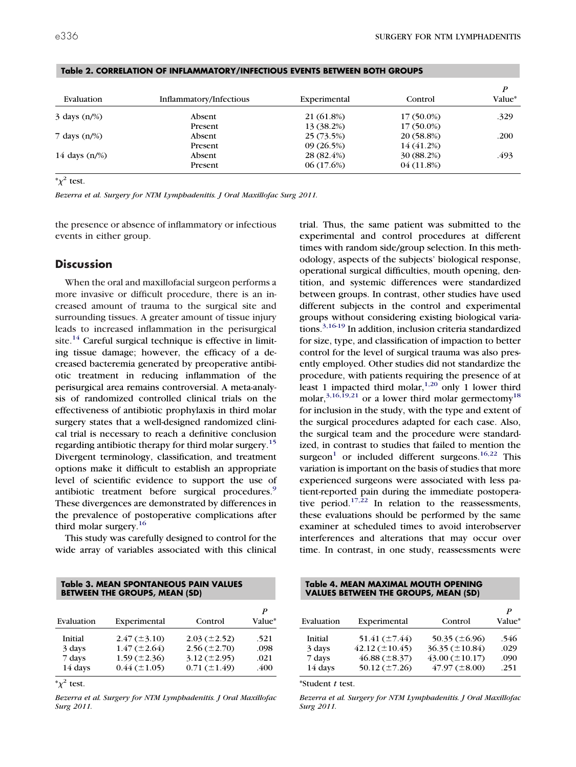| Evaluation                       | Inflammatory/Infectious | Experimental | Control      | P<br>Value* |
|----------------------------------|-------------------------|--------------|--------------|-------------|
| $3 \text{ days } (n\frac{1}{6})$ | Absent                  | 21 (61.8%)   | $17(50.0\%)$ | .329        |
|                                  | Present                 | 13 (38.2%)   | $17(50.0\%)$ |             |
| 7 days $(n/\%)$                  | Absent                  | 25 (73.5%)   | 20 (58.8%)   | .200        |
|                                  | Present                 | 09(26.5%)    | 14 (41.2%)   |             |
| 14 days $(n/\%)$                 | Absent                  | 28 (82.4%)   | 30 (88.2%)   | .493        |
|                                  | Present                 | 06(17.6%)    | 04(11.8%)    |             |

<span id="page-3-0"></span>**Table 2. CORRELATION OF INFLAMMATORY/INFECTIOUS EVENTS BETWEEN BOTH GROUPS**

 $*\chi^2$  test.

*Bezerra et al. Surgery for NTM Lymphadenitis. J Oral Maxillofac Surg 2011.*

the presence or absence of inflammatory or infectious events in either group.

# **Discussion**

When the oral and maxillofacial surgeon performs a more invasive or difficult procedure, there is an increased amount of trauma to the surgical site and surrounding tissues. A greater amount of tissue injury leads to increased inflammation in the perisurgical site.<sup>[14](#page-5-10)</sup> Careful surgical technique is effective in limiting tissue damage; however, the efficacy of a decreased bacteremia generated by preoperative antibiotic treatment in reducing inflammation of the perisurgical area remains controversial. A meta-analysis of randomized controlled clinical trials on the effectiveness of antibiotic prophylaxis in third molar surgery states that a well-designed randomized clinical trial is necessary to reach a definitive conclusion regarding antibiotic therapy for third molar surgery.<sup>[15](#page-5-11)</sup> Divergent terminology, classification, and treatment options make it difficult to establish an appropriate level of scientific evidence to support the use of antibiotic treatment before surgical procedures.<sup>[9](#page-5-5)</sup> These divergences are demonstrated by differences in the prevalence of postoperative complications after third molar surgery.<sup>[16](#page-5-12)</sup>

This study was carefully designed to control for the wide array of variables associated with this clinical

<span id="page-3-1"></span>

| Table 3. MEAN SPONTANEOUS PAIN VALUES |
|---------------------------------------|
| <b>BETWEEN THE GROUPS, MEAN (SD)</b>  |

| Evaluation | Experimental                   | Control           | P<br>Value* |
|------------|--------------------------------|-------------------|-------------|
| Initial    | $2.47 \left( \pm 3.10 \right)$ | $2.03 (\pm 2.52)$ | .521        |
| 3 days     | $1.47 (\pm 2.64)$              | $2.56 (\pm 2.70)$ | .098        |
| 7 days     | $1.59 (\pm 2.36)$              | $3.12 (\pm 2.95)$ | .021        |
| 14 days    | $0.44 (\pm 1.05)$              | $0.71 (\pm 1.49)$ | .400        |

 $*\chi^2$  test.

*Bezerra et al. Surgery for NTM Lymphadenitis. J Oral Maxillofac Surg 2011.*

trial. Thus, the same patient was submitted to the experimental and control procedures at different times with random side/group selection. In this methodology, aspects of the subjects' biological response, operational surgical difficulties, mouth opening, dentition, and systemic differences were standardized between groups. In contrast, other studies have used different subjects in the control and experimental groups without considering existing biological varia-tions.<sup>[3,16-19](#page-5-13)</sup> In addition, inclusion criteria standardized for size, type, and classification of impaction to better control for the level of surgical trauma was also presently employed. Other studies did not standardize the procedure, with patients requiring the presence of at least 1 impacted third molar,  $1,20$  only 1 lower third molar,  $3,16,19,21$  or a lower third molar germectomy<sup>[18](#page-6-0)</sup> for inclusion in the study, with the type and extent of the surgical procedures adapted for each case. Also, the surgical team and the procedure were standardized, in contrast to studies that failed to mention the surgeon<sup>[1](#page-5-0)</sup> or included different surgeons.<sup>[16,22](#page-5-12)</sup> This variation is important on the basis of studies that more experienced surgeons were associated with less patient-reported pain during the immediate postopera-tive period.<sup>[17,22](#page-5-14)</sup> In relation to the reassessments, these evaluations should be performed by the same examiner at scheduled times to avoid interobserver interferences and alterations that may occur over time. In contrast, in one study, reassessments were

<span id="page-3-2"></span>

| Table 4. MEAN MAXIMAL MOUTH OPENING         |  |
|---------------------------------------------|--|
| <b>VALUES BETWEEN THE GROUPS, MEAN (SD)</b> |  |

| Evaluation | Experimental        | Control             | P<br><b>Value*</b> |
|------------|---------------------|---------------------|--------------------|
| Initial    | 51.41 $(\pm 7.44)$  | 50.35 $(\pm 6.96)$  | .546               |
| 3 days     | $42.12 (\pm 10.45)$ | $36.35 (\pm 10.84)$ | .029               |
| 7 days     | $46.88 (\pm 8.37)$  | $43.00 (\pm 10.17)$ | .090               |
| 14 days    | 50.12 $(\pm 7.26)$  | $47.97 (\pm 8.00)$  | .251               |

\*Student *t* test.

*Bezerra et al. Surgery for NTM Lymphadenitis. J Oral Maxillofac Surg 2011.*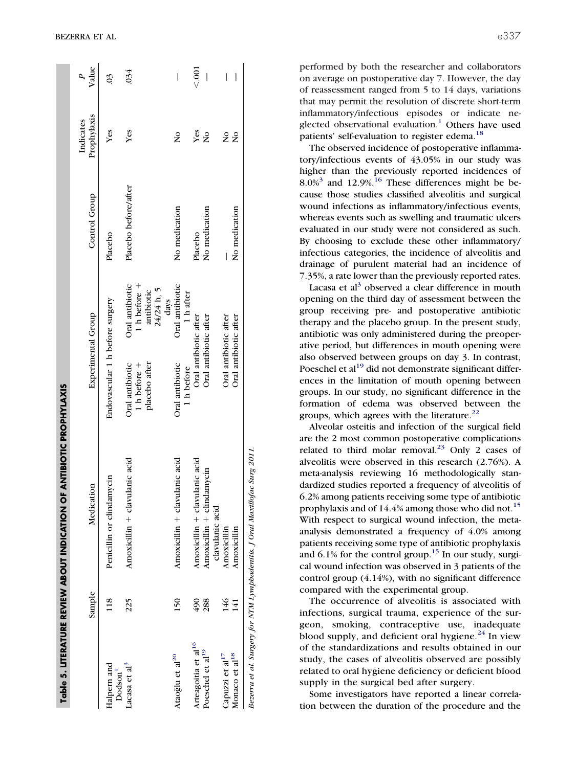|                                    |        | <b>ANTIBIOTIC PROPHYLAXIS</b><br>Table 5. LITERATURE REVIEW ABOUT INDICATION OF |                                                    |                                                 |                      |                          |                      |
|------------------------------------|--------|---------------------------------------------------------------------------------|----------------------------------------------------|-------------------------------------------------|----------------------|--------------------------|----------------------|
|                                    | Sample | Medication                                                                      | <b>Experimental</b> Group                          |                                                 | Control Group        | Prophylaxis<br>Indicates | Value                |
| Halpern and<br>Dodson <sup>1</sup> | 118    | Penicillin or clindamycin                                                       | Endovascular 1 h before surgery                    |                                                 | Placebo              | Yes                      | $\tilde{\mathrm{S}}$ |
| Lacasa et al <sup>3</sup>          | 225    | Amoxicillin + clavulanic acid                                                   | placebo after<br>Oral antibiotic<br>1 h before $+$ | Oral antibiotic<br>1 h before $+$<br>antibiotic | Placebo before/after | Yes                      | .034                 |
|                                    |        |                                                                                 |                                                    | 24/24 h, 5<br>days                              |                      |                          |                      |
| Ataoğlu et al <sup>20</sup>        | 150    | Amoxicillin + clavulanic acid                                                   | Oral antibiotic<br>1 h before                      | Oral antibiotic<br>1 h after                    | No medication        | $\frac{1}{2}$            | I                    |
| Arteagoitia et al <sup>16</sup>    | 490    | Amoxicillin + clavulanic acid                                                   | Oral antibiotic after                              |                                                 | Placebo              | Yes                      | $\frac{2}{3}$        |
| Poeschel et al <sup>19</sup>       | 288    | Amoxicillin + clindamycin<br>clavulanic acid                                    | Oral antibiotic after                              |                                                 | No medication        | $\frac{1}{2}$            | I                    |
| Capuzzi et al <sup>17</sup>        | 146    | Amoxicillin                                                                     | Oral antibiotic after                              |                                                 |                      | $\frac{1}{2}$            | I                    |
| Monaco et al <sup>18</sup>         | 141    | Amoxicillin                                                                     | Oral antibiotic after                              |                                                 | No medication        | $\frac{1}{2}$            | I                    |
|                                    |        | Bezerra et al. Surgery for NTM Lymphadentits. J Oral Maxillofac Surg 2011.      |                                                    |                                                 |                      |                          |                      |

performed by both the researcher and collaborators on average on postoperative day 7. However, the day of reassessment ranged from 5 to 14 days, variations that may permit the resolution of discrete short-term inflammatory/infectious episodes or indicate ne-glected observational evaluation.<sup>[1](#page-5-0)</sup> Others have used patients' self-evaluation to register edema.<sup>[18](#page-6-0)</sup>

The observed incidence of postoperative inflammatory/infectious events of 43.05% in our study was higher than the previously reported incidences of  $8.0\%$ <sup>[3](#page-5-13)</sup> and 12.9%.<sup>[16](#page-5-12)</sup> These differences might be because those studies classified alveolitis and surgical wound infections as inflammatory/infectious events, whereas events such as swelling and traumatic ulcers evaluated in our study were not considered as such. By choosing to exclude these other inflammatory/ infectious categories, the incidence of alveolitis and drainage of purulent material had an incidence of 7.35%, a rate lower than the previously reported rates.

Lacasa et al<sup>[3](#page-5-13)</sup> observed a clear difference in mouth opening on the third day of assessment between the group receiving pre- and postoperative antibiotic therapy and the placebo group. In the present study, antibiotic was only administered during the preoperative period, but differences in mouth opening were also observed between groups on day 3. In contrast, Poeschel et  $al<sup>19</sup>$  $al<sup>19</sup>$  $al<sup>19</sup>$  did not demonstrate significant differences in the limitation of mouth opening between groups. In our study, no significant difference in the formation of edema was observed between the groups, which agrees with the literature. $^{22}$  $^{22}$  $^{22}$ 

Alveolar osteitis and infection of the surgical field are the 2 most common postoperative complications related to third molar removal.<sup>[23](#page-6-3)</sup> Only 2 cases of alveolitis were observed in this research (2.76%). A meta-analysis reviewing 16 methodologically standardized studies reported a frequency of alveolitis of 6.2% among patients receiving some type of antibiotic prophylaxis and of 14.4% among those who did not.<sup>[15](#page-5-11)</sup> With respect to surgical wound infection, the metaanalysis demonstrated a frequency of 4.0% among patients receiving some type of antibiotic prophylaxis and  $6.1\%$  for the control group.<sup>[15](#page-5-11)</sup> In our study, surgical wound infection was observed in 3 patients of the control group (4.14%), with no significant difference compared with the experimental group.

The occurrence of alveolitis is associated with infections, surgical trauma, experience of the surgeon, smoking, contraceptive use, inadequate blood supply, and deficient oral hygiene. $^{24}$  $^{24}$  $^{24}$  In view of the standardizations and results obtained in our study, the cases of alveolitis observed are possibly related to oral hygiene deficiency or deficient blood supply in the surgical bed after surgery.

<span id="page-4-0"></span>Some investigators have reported a linear correlation between the duration of the procedure and the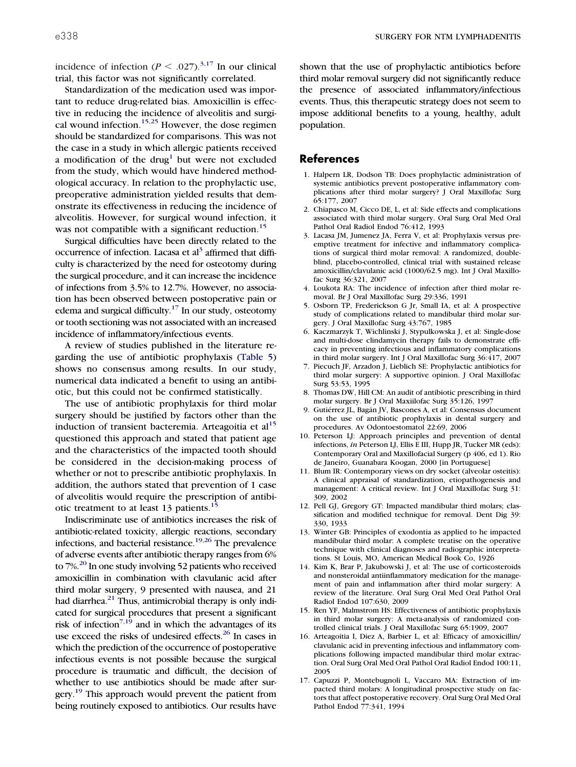incidence of infection ( $P \leq .027$ ).<sup>3,17</sup> In our clinical trial, this factor was not significantly correlated.

Standardization of the medication used was important to reduce drug-related bias. Amoxicillin is effective in reducing the incidence of alveolitis and surgi-cal wound infection.<sup>[15,25](#page-5-11)</sup> However, the dose regimen should be standardized for comparisons. This was not the case in a study in which allergic patients received a modification of the drug<sup>1</sup> but were not excluded from the study, which would have hindered methodological accuracy. In relation to the prophylactic use, preoperative administration yielded results that demonstrate its effectiveness in reducing the incidence of alveolitis. However, for surgical wound infection, it was not compatible with a significant reduction.<sup>[15](#page-5-11)</sup>

Surgical difficulties have been directly related to the occurrence of infection. Lacasa et al<sup>3</sup> affirmed that difficulty is characterized by the need for osteotomy during the surgical procedure, and it can increase the incidence of infections from 3.5% to 12.7%. However, no association has been observed between postoperative pain or edema and surgical difficulty.<sup>17</sup> In our study, osteotomy or tooth sectioning was not associated with an increased incidence of inflammatory/infectious events.

A review of studies published in the literature regarding the use of antibiotic prophylaxis [\(Table 5\)](#page-4-0) shows no consensus among results. In our study, numerical data indicated a benefit to using an antibiotic, but this could not be confirmed statistically.

The use of antibiotic prophylaxis for third molar surgery should be justified by factors other than the induction of transient bacteremia. Arteagoitia et  $al<sup>15</sup>$  $al<sup>15</sup>$  $al<sup>15</sup>$ questioned this approach and stated that patient age and the characteristics of the impacted tooth should be considered in the decision-making process of whether or not to prescribe antibiotic prophylaxis. In addition, the authors stated that prevention of 1 case of alveolitis would require the prescription of antibi-otic treatment to at least 13 patients.<sup>[15](#page-5-11)</sup>

Indiscriminate use of antibiotics increases the risk of antibiotic-related toxicity, allergic reactions, secondary infections, and bacterial resistance.<sup>19,26</sup> The prevalence of adverse events after antibiotic therapy ranges from 6% to 7%.<sup>20</sup> In one study involving 52 patients who received amoxicillin in combination with clavulanic acid after third molar surgery, 9 presented with nausea, and 21 had diarrhea. $21$  Thus, antimicrobial therapy is only indicated for surgical procedures that present a significant risk of infection<sup>7,19</sup> and in which the advantages of its use exceed the risks of undesired effects.<sup>26</sup> In cases in which the prediction of the occurrence of postoperative infectious events is not possible because the surgical procedure is traumatic and difficult, the decision of whether to use antibiotics should be made after surgery.<sup>19</sup> This approach would prevent the patient from being routinely exposed to antibiotics. Our results have

shown that the use of prophylactic antibiotics before third molar removal surgery did not significantly reduce the presence of associated inflammatory/infectious events. Thus, this therapeutic strategy does not seem to impose additional benefits to a young, healthy, adult population.

### <span id="page-5-0"></span>**References**

- 1. Halpern LR, Dodson TB: Does prophylactic administration of systemic antibiotics prevent postoperative inflammatory complications after third molar surgery? J Oral Maxillofac Surg 65:177, 2007
- <span id="page-5-1"></span>2. Chiapasco M, Cicco DE, L, et al: Side effects and complications associated with third molar surgery. Oral Surg Oral Med Oral Pathol Oral Radiol Endod 76:412, 1993
- <span id="page-5-13"></span>3. Lacasa JM, Jumenez JA, Ferra V, et al: Prophylaxis versus preemptive treatment for infective and inflammatory complications of surgical third molar removal: A randomized, doubleblind, placebo-controlled, clinical trial with sustained release amoxicillin/clavulanic acid (1000/62.5 mg). Int J Oral Maxillofac Surg 36:321, 2007
- 4. Loukota RA: The incidence of infection after third molar removal. Br J Oral Maxillofac Surg 29:336, 1991
- 5. Osborn TP, Frederickson G Jr, Small IA, et al: A prospective study of complications related to mandibular third molar surgery. J Oral Maxillofac Surg 43:767, 1985
- <span id="page-5-2"></span>6. Kaczmarzyk T, Wichlinski J, Stypulkowska J, et al: Single-dose and multi-dose clindamycin therapy fails to demonstrate efficacy in preventing infectious and inflammatory complications in third molar surgery. Int J Oral Maxillofac Surg 36:417, 2007
- <span id="page-5-3"></span>7. Piecuch JF, Arzadon J, Lieblich SE: Prophylactic antibiotics for third molar surgery: A supportive opinion. J Oral Maxillofac Surg 53:53, 1995
- <span id="page-5-5"></span><span id="page-5-4"></span>8. Thomas DW, Hill CM: An audit of antibiotic prescribing in third molar surgery. Br J Oral Maxiilofac Surg 35:126, 1997
- 9. Gutiérrez JL, Bagán JV, Bascones A, et al: Consensus document on the use of antibiotic prophylaxis in dental surgery and procedures. Av Odontoestomatol 22:69, 2006
- <span id="page-5-6"></span>10. Peterson LJ: Approach principles and prevention of dental infections, *in* Peterson LJ, Ellis E III, Hupp JR, Tucker MR (eds): Contemporary Oral and Maxillofacial Surgery (p 406, ed 1). Rio de Janeiro, Guanabara Koogan, 2000 [in Portuguese]
- <span id="page-5-7"></span>11. Blum IR: Contemporary views on dry socket (alveolar osteitis): A clinical appraisal of standardization, etiopathogenesis and management: A critical review. Int J Oral Maxillofac Surg 31: 309, 2002
- <span id="page-5-9"></span><span id="page-5-8"></span>12. Pell GJ, Gregory GT: Impacted mandibular third molars; classification and modified technique for removal. Dent Dig 39: 330, 1933
- 13. Winter GB: Principles of exodontia as applied to he impacted mandibular third molar: A complete treatise on the operative technique with clinical diagnoses and radiographic interpretations. St Louis, MO, American Medical Book Co, 1926
- <span id="page-5-10"></span>14. Kim K, Brar P, Jakubowski J, et al: The use of corticosteroids and nonsteroidal antiinflammatory medication for the management of pain and inflammation after third molar surgery: A review of the literature. Oral Surg Oral Med Oral Pathol Oral Radiol Endod 107:630, 2009
- <span id="page-5-12"></span><span id="page-5-11"></span>15. Ren YF, Malmstrom HS: Effectiveness of antibiotic prophylaxis in third molar surgery: A meta-analysis of randomized controlled clinical trials. J Oral Maxillofac Surg 65:1909, 2007
- 16. Arteagoitia I, Diez A, Barbier L, et al: Efficacy of amoxicillin/ clavulanic acid in preventing infectious and inflammatory complications following impacted mandibular third molar extraction. Oral Surg Oral Med Oral Pathol Oral Radiol Endod 100:11, 2005
- <span id="page-5-14"></span>17. Capuzzi P, Montebugnoli L, Vaccaro MA: Extraction of impacted third molars: A longitudinal prospective study on factors that affect postoperative recovery. Oral Surg Oral Med Oral Pathol Endod 77:341, 1994